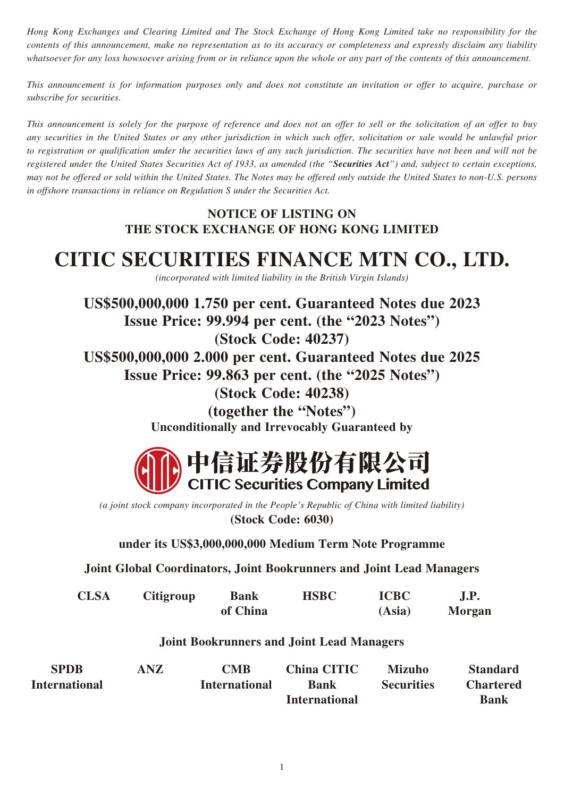*Hong Kong Exchanges and Clearing Limited and The Stock Exchange of Hong Kong Limited take no responsibility for the contents of this announcement, make no representation as to its accuracy or completeness and expressly disclaim any liability whatsoever for any loss howsoever arising from or in reliance upon the whole or any part of the contents of this announcement.*

*This announcement is for information purposes only and does not constitute an invitation or offer to acquire, purchase or subscribe for securities.*

*This announcement is solely for the purpose of reference and does not an offer to sell or the solicitation of an offer to buy any securities in the United States or any other jurisdiction in which such offer, solicitation or sale would be unlawful prior to registration or qualification under the securities laws of any such jurisdiction. The securities have not been and will not be registered under the United States Securities Act of 1933, as amended (the "Securities Act") and, subject to certain exceptions, may not be offered or sold within the United States. The Notes may be offered only outside the United States to non-U.S. persons in offshore transactions in reliance on Regulation S under the Securities Act.*

## **NOTICE OF LISTING ON THE STOCK EXCHANGE OF HONG KONG LIMITED**

## **CITIC SECURITIES FINANCE MTN CO., LTD.**

*(incorporated with limited liability in the British Virgin Islands)*

**US\$500,000,000 1.750 per cent. Guaranteed Notes due 2023 Issue Price: 99.994 per cent. (the "2023 Notes") (Stock Code: 40237) US\$500,000,000 2.000 per cent. Guaranteed Notes due 2025 Issue Price: 99.863 per cent. (the "2025 Notes") (Stock Code: 40238) (together the "Notes") Unconditionally and Irrevocably Guaranteed by**



*(a joint stock company incorporated in the People's Republic of China with limited liability)* **(Stock Code: 6030)**

**under its US\$3,000,000,000 Medium Term Note Programme**

**Joint Global Coordinators, Joint Bookrunners and Joint Lead Managers**

| <b>CLSA</b> | <b>Citigroup</b> | <b>Bank</b> | <b>HSBC</b> | <b>ICBC</b> | <b>J.P.</b> |
|-------------|------------------|-------------|-------------|-------------|-------------|
|             |                  | of China    |             | (Asia)      | Morgan      |

## **Joint Bookrunners and Joint Lead Managers**

| <b>SPDB</b>          | ANZ | CMB                  | <b>China CITIC</b>   | <b>Mizuho</b>     | <b>Standard</b>  |
|----------------------|-----|----------------------|----------------------|-------------------|------------------|
| <b>International</b> |     | <b>International</b> | <b>Bank</b>          | <b>Securities</b> | <b>Chartered</b> |
|                      |     |                      | <b>International</b> |                   | <b>Bank</b>      |